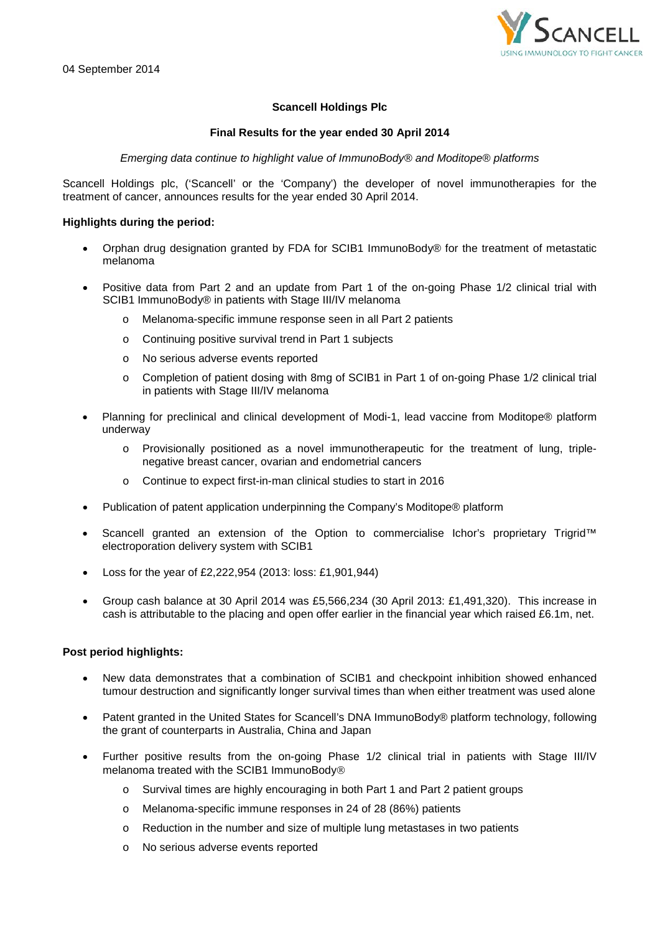

# **Scancell Holdings Plc**

### **Final Results for the year ended 30 April 2014**

*Emerging data continue to highlight value of ImmunoBody® and Moditope® platforms*

Scancell Holdings plc, ('Scancell' or the 'Company') the developer of novel immunotherapies for the treatment of cancer, announces results for the year ended 30 April 2014.

### **Highlights during the period:**

- Orphan drug designation granted by FDA for SCIB1 ImmunoBody® for the treatment of metastatic melanoma
- Positive data from Part 2 and an update from Part 1 of the on-going Phase 1/2 clinical trial with SCIB1 ImmunoBody® in patients with Stage III/IV melanoma
	- Melanoma-specific immune response seen in all Part 2 patients
	- o Continuing positive survival trend in Part 1 subjects
	- o No serious adverse events reported
	- o Completion of patient dosing with 8mg of SCIB1 in Part 1 of on-going Phase 1/2 clinical trial in patients with Stage III/IV melanoma
- Planning for preclinical and clinical development of Modi-1, lead vaccine from Moditope® platform underway
	- o Provisionally positioned as a novel immunotherapeutic for the treatment of lung, triplenegative breast cancer, ovarian and endometrial cancers
	- Continue to expect first-in-man clinical studies to start in 2016
- Publication of patent application underpinning the Company's Moditope® platform
- Scancell granted an extension of the Option to commercialise Ichor's proprietary Trigrid™ electroporation delivery system with SCIB1
- Loss for the year of £2,222,954 (2013: loss: £1,901,944)
- Group cash balance at 30 April 2014 was £5,566,234 (30 April 2013: £1,491,320). This increase in cash is attributable to the placing and open offer earlier in the financial year which raised £6.1m, net.

# **Post period highlights:**

- New data demonstrates that a combination of SCIB1 and checkpoint inhibition showed enhanced tumour destruction and significantly longer survival times than when either treatment was used alone
- Patent granted in the United States for Scancell's DNA ImmunoBody® platform technology, following the grant of counterparts in Australia, China and Japan
- Further positive results from the on-going Phase 1/2 clinical trial in patients with Stage III/IV melanoma treated with the SCIB1 ImmunoBody
	- o Survival times are highly encouraging in both Part 1 and Part 2 patient groups
	- o Melanoma-specific immune responses in 24 of 28 (86%) patients
	- $\circ$  Reduction in the number and size of multiple lung metastases in two patients
	- o No serious adverse events reported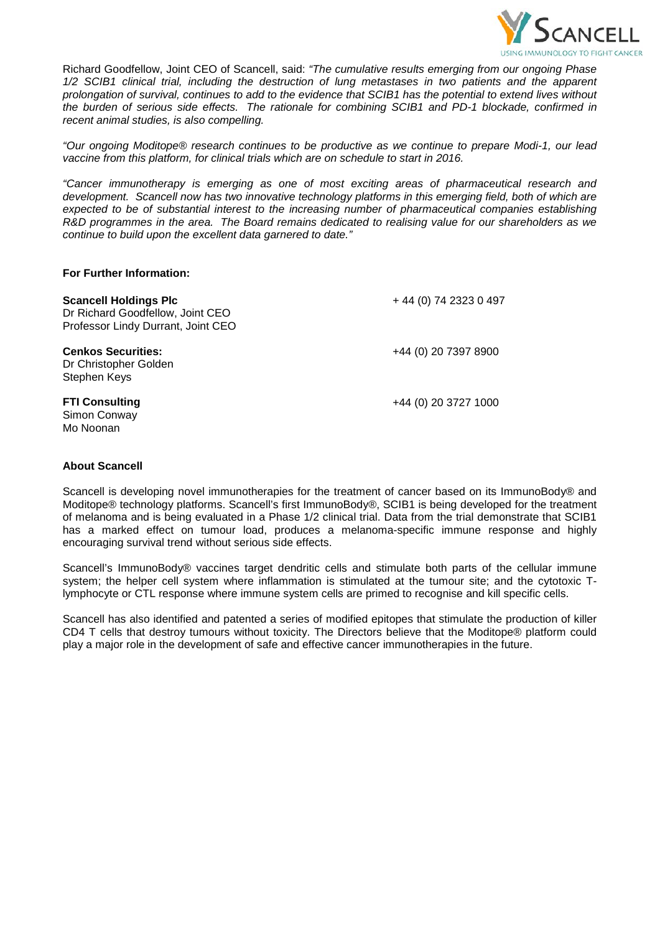

Richard Goodfellow, Joint CEO of Scancell, said: *"The cumulative results emerging from our ongoing Phase 1/2 SCIB1 clinical trial, including the destruction of lung metastases in two patients and the apparent prolongation of survival, continues to add to the evidence that SCIB1 has the potential to extend lives without the burden of serious side effects. The rationale for combining SCIB1 and PD-1 blockade, confirmed in recent animal studies, is also compelling.* 

*"Our ongoing Moditope® research continues to be productive as we continue to prepare Modi-1, our lead vaccine from this platform, for clinical trials which are on schedule to start in 2016.*

*"Cancer immunotherapy is emerging as one of most exciting areas of pharmaceutical research and development. Scancell now has two innovative technology platforms in this emerging field, both of which are expected to be of substantial interest to the increasing number of pharmaceutical companies establishing R&D programmes in the area. The Board remains dedicated to realising value for our shareholders as we continue to build upon the excellent data garnered to date."*

#### **For Further Information:**

| <b>Scancell Holdings Plc</b><br>Dr Richard Goodfellow, Joint CEO<br>Professor Lindy Durrant, Joint CEO | +44 (0) 74 2323 0 497 |
|--------------------------------------------------------------------------------------------------------|-----------------------|
| <b>Cenkos Securities:</b><br>Dr Christopher Golden<br>Stephen Keys                                     | +44 (0) 20 7397 8900  |
| <b>FTI Consulting</b><br>Simon Conway<br>Mo Noonan                                                     | +44 (0) 20 3727 1000  |

#### **About Scancell**

Scancell is developing novel immunotherapies for the treatment of cancer based on its ImmunoBody® and Moditope® technology platforms. Scancell's first ImmunoBody®, SCIB1 is being developed for the treatment of melanoma and is being evaluated in a Phase 1/2 clinical trial. Data from the trial demonstrate that SCIB1 has a marked effect on tumour load, produces a melanoma-specific immune response and highly encouraging survival trend without serious side effects.

Scancell's ImmunoBody® vaccines target dendritic cells and stimulate both parts of the cellular immune system; the helper cell system where inflammation is stimulated at the tumour site; and the cytotoxic Tlymphocyte or CTL response where immune system cells are primed to recognise and kill specific cells.

Scancell has also identified and patented a series of modified epitopes that stimulate the production of killer CD4 T cells that destroy tumours without toxicity. The Directors believe that the Moditope® platform could play a major role in the development of safe and effective cancer immunotherapies in the future.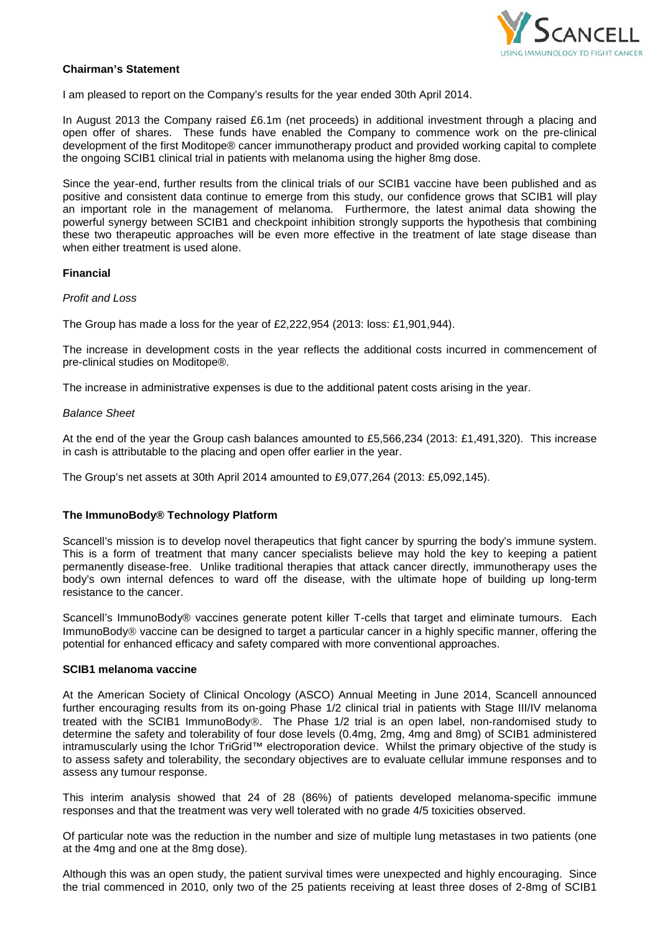

### **Chairman's Statement**

I am pleased to report on the Company's results for the year ended 30th April 2014.

In August 2013 the Company raised £6.1m (net proceeds) in additional investment through a placing and open offer of shares. These funds have enabled the Company to commence work on the pre-clinical development of the first Moditope® cancer immunotherapy product and provided working capital to complete the ongoing SCIB1 clinical trial in patients with melanoma using the higher 8mg dose.

Since the year-end, further results from the clinical trials of our SCIB1 vaccine have been published and as positive and consistent data continue to emerge from this study, our confidence grows that SCIB1 will play an important role in the management of melanoma. Furthermore, the latest animal data showing the powerful synergy between SCIB1 and checkpoint inhibition strongly supports the hypothesis that combining these two therapeutic approaches will be even more effective in the treatment of late stage disease than when either treatment is used alone.

### **Financial**

#### *Profit and Loss*

The Group has made a loss for the year of £2,222,954 (2013: loss: £1,901,944).

The increase in development costs in the year reflects the additional costs incurred in commencement of pre-clinical studies on Moditope®.

The increase in administrative expenses is due to the additional patent costs arising in the year.

#### *Balance Sheet*

At the end of the year the Group cash balances amounted to £5,566,234 (2013: £1,491,320). This increase in cash is attributable to the placing and open offer earlier in the year.

The Group's net assets at 30th April 2014 amounted to £9,077,264 (2013: £5,092,145).

## **The ImmunoBody® Technology Platform**

Scancell's mission is to develop novel therapeutics that fight cancer by spurring the body's immune system. This is a form of treatment that many cancer specialists believe may hold the key to keeping a patient permanently disease-free. Unlike traditional therapies that attack cancer directly, immunotherapy uses the body's own internal defences to ward off the disease, with the ultimate hope of building up long-term resistance to the cancer.

Scancell's ImmunoBody® vaccines generate potent killer T-cells that target and eliminate tumours. Each ImmunoBody<sup>®</sup> vaccine can be designed to target a particular cancer in a highly specific manner, offering the potential for enhanced efficacy and safety compared with more conventional approaches.

#### **SCIB1 melanoma vaccine**

At the American Society of Clinical Oncology (ASCO) Annual Meeting in June 2014, Scancell announced further encouraging results from its on-going Phase 1/2 clinical trial in patients with Stage III/IV melanoma treated with the SCIB1 ImmunoBody®. The Phase 1/2 trial is an open label, non-randomised study to determine the safety and tolerability of four dose levels (0.4mg, 2mg, 4mg and 8mg) of SCIB1 administered intramuscularly using the Ichor TriGrid™ electroporation device. Whilst the primary objective of the study is to assess safety and tolerability, the secondary objectives are to evaluate cellular immune responses and to assess any tumour response.

This interim analysis showed that 24 of 28 (86%) of patients developed melanoma-specific immune responses and that the treatment was very well tolerated with no grade 4/5 toxicities observed.

Of particular note was the reduction in the number and size of multiple lung metastases in two patients (one at the 4mg and one at the 8mg dose).

Although this was an open study, the patient survival times were unexpected and highly encouraging. Since the trial commenced in 2010, only two of the 25 patients receiving at least three doses of 2-8mg of SCIB1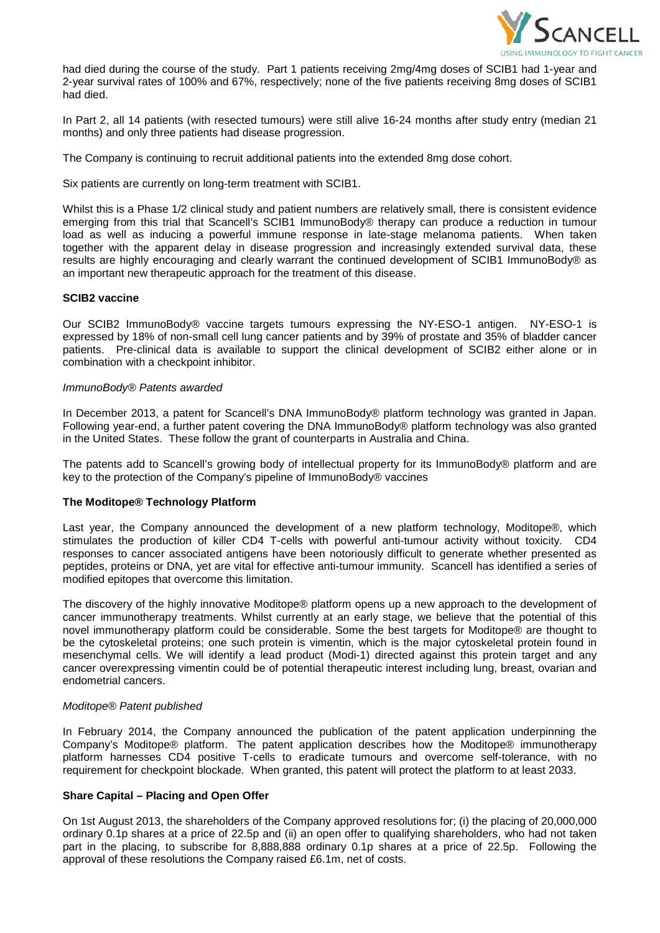

had died during the course of the study. Part 1 patients receiving 2mg/4mg doses of SCIB1 had 1-year and 2-year survival rates of 100% and 67%, respectively; none of the five patients receiving 8mg doses of SCIB1 had died.

In Part 2, all 14 patients (with resected tumours) were still alive 16-24 months after study entry (median 21 months) and only three patients had disease progression.

The Company is continuing to recruit additional patients into the extended 8mg dose cohort.

Six patients are currently on long-term treatment with SCIB1.

Whilst this is a Phase 1/2 clinical study and patient numbers are relatively small, there is consistent evidence emerging from this trial that Scancell's SCIB1 ImmunoBody® therapy can produce a reduction in tumour load as well as inducing a powerful immune response in late-stage melanoma patients. When taken together with the apparent delay in disease progression and increasingly extended survival data, these results are highly encouraging and clearly warrant the continued development of SCIB1 ImmunoBody® as an important new therapeutic approach for the treatment of this disease.

### **SCIB2 vaccine**

Our SCIB2 ImmunoBody® vaccine targets tumours expressing the NY-ESO-1 antigen. NY-ESO-1 is expressed by 18% of non-small cell lung cancer patients and by 39% of prostate and 35% of bladder cancer patients. Pre-clinical data is available to support the clinical development of SCIB2 either alone or in combination with a checkpoint inhibitor.

#### *ImmunoBody® Patents awarded*

In December 2013, a patent for Scancell's DNA ImmunoBody® platform technology was granted in Japan. Following year-end, a further patent covering the DNA ImmunoBody® platform technology was also granted in the United States. These follow the grant of counterparts in Australia and China.

The patents add to Scancell's growing body of intellectual property for its ImmunoBody® platform and are key to the protection of the Company's pipeline of ImmunoBody® vaccines

#### **The Moditope® Technology Platform**

Last year, the Company announced the development of a new platform technology, Moditope®, which stimulates the production of killer CD4 T-cells with powerful anti-tumour activity without toxicity. CD4 responses to cancer associated antigens have been notoriously difficult to generate whether presented as peptides, proteins or DNA, yet are vital for effective anti-tumour immunity. Scancell has identified a series of modified epitopes that overcome this limitation.

The discovery of the highly innovative Moditope® platform opens up a new approach to the development of cancer immunotherapy treatments. Whilst currently at an early stage, we believe that the potential of this novel immunotherapy platform could be considerable. Some the best targets for Moditope® are thought to be the cytoskeletal proteins; one such protein is vimentin, which is the major cytoskeletal protein found in mesenchymal cells. We will identify a lead product (Modi-1) directed against this protein target and any cancer overexpressing vimentin could be of potential therapeutic interest including lung, breast, ovarian and endometrial cancers.

#### *Moditope® Patent published*

In February 2014, the Company announced the publication of the patent application underpinning the Company's Moditope® platform. The patent application describes how the Moditope® immunotherapy platform harnesses CD4 positive T-cells to eradicate tumours and overcome self-tolerance, with no requirement for checkpoint blockade. When granted, this patent will protect the platform to at least 2033.

## **Share Capital – Placing and Open Offer**

On 1st August 2013, the shareholders of the Company approved resolutions for; (i) the placing of 20,000,000 ordinary 0.1p shares at a price of 22.5p and (ii) an open offer to qualifying shareholders, who had not taken part in the placing, to subscribe for 8,888,888 ordinary 0.1p shares at a price of 22.5p. Following the approval of these resolutions the Company raised £6.1m, net of costs.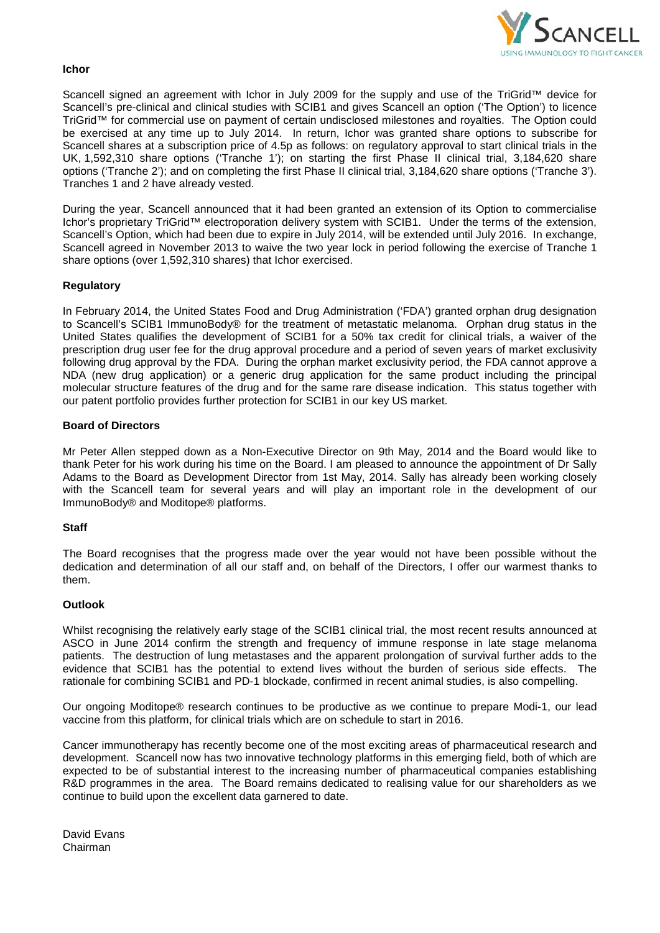

#### **Ichor**

Scancell signed an agreement with Ichor in July 2009 for the supply and use of the TriGrid™ device for Scancell's pre-clinical and clinical studies with SCIB1 and gives Scancell an option ('The Option') to licence TriGrid™ for commercial use on payment of certain undisclosed milestones and royalties. The Option could be exercised at any time up to July 2014. In return, Ichor was granted share options to subscribe for Scancell shares at a subscription price of 4.5p as follows: on regulatory approval to start clinical trials in the UK, 1,592,310 share options ('Tranche 1'); on starting the first Phase II clinical trial, 3,184,620 share options ('Tranche 2'); and on completing the first Phase II clinical trial, 3,184,620 share options ('Tranche 3'). Tranches 1 and 2 have already vested.

During the year, Scancell announced that it had been granted an extension of its Option to commercialise Ichor's proprietary TriGrid™ electroporation delivery system with SCIB1. Under the terms of the extension, Scancell's Option, which had been due to expire in July 2014, will be extended until July 2016. In exchange, Scancell agreed in November 2013 to waive the two year lock in period following the exercise of Tranche 1 share options (over 1,592,310 shares) that Ichor exercised.

### **Regulatory**

In February 2014, the United States Food and Drug Administration ('FDA') granted orphan drug designation to Scancell's SCIB1 ImmunoBody® for the treatment of metastatic melanoma. Orphan drug status in the United States qualifies the development of SCIB1 for a 50% tax credit for clinical trials, a waiver of the prescription drug user fee for the drug approval procedure and a period of seven years of market exclusivity following drug approval by the FDA. During the orphan market exclusivity period, the FDA cannot approve a NDA (new drug application) or a generic drug application for the same product including the principal molecular structure features of the drug and for the same rare disease indication. This status together with our patent portfolio provides further protection for SCIB1 in our key US market.

#### **Board of Directors**

Mr Peter Allen stepped down as a Non-Executive Director on 9th May, 2014 and the Board would like to thank Peter for his work during his time on the Board. I am pleased to announce the appointment of Dr Sally Adams to the Board as Development Director from 1st May, 2014. Sally has already been working closely with the Scancell team for several years and will play an important role in the development of our ImmunoBody® and Moditope® platforms.

#### **Staff**

The Board recognises that the progress made over the year would not have been possible without the dedication and determination of all our staff and, on behalf of the Directors, I offer our warmest thanks to them.

#### **Outlook**

Whilst recognising the relatively early stage of the SCIB1 clinical trial, the most recent results announced at ASCO in June 2014 confirm the strength and frequency of immune response in late stage melanoma patients. The destruction of lung metastases and the apparent prolongation of survival further adds to the evidence that SCIB1 has the potential to extend lives without the burden of serious side effects. The rationale for combining SCIB1 and PD-1 blockade, confirmed in recent animal studies, is also compelling.

Our ongoing Moditope® research continues to be productive as we continue to prepare Modi-1, our lead vaccine from this platform, for clinical trials which are on schedule to start in 2016.

Cancer immunotherapy has recently become one of the most exciting areas of pharmaceutical research and development. Scancell now has two innovative technology platforms in this emerging field, both of which are expected to be of substantial interest to the increasing number of pharmaceutical companies establishing R&D programmes in the area. The Board remains dedicated to realising value for our shareholders as we continue to build upon the excellent data garnered to date.

David Evans Chairman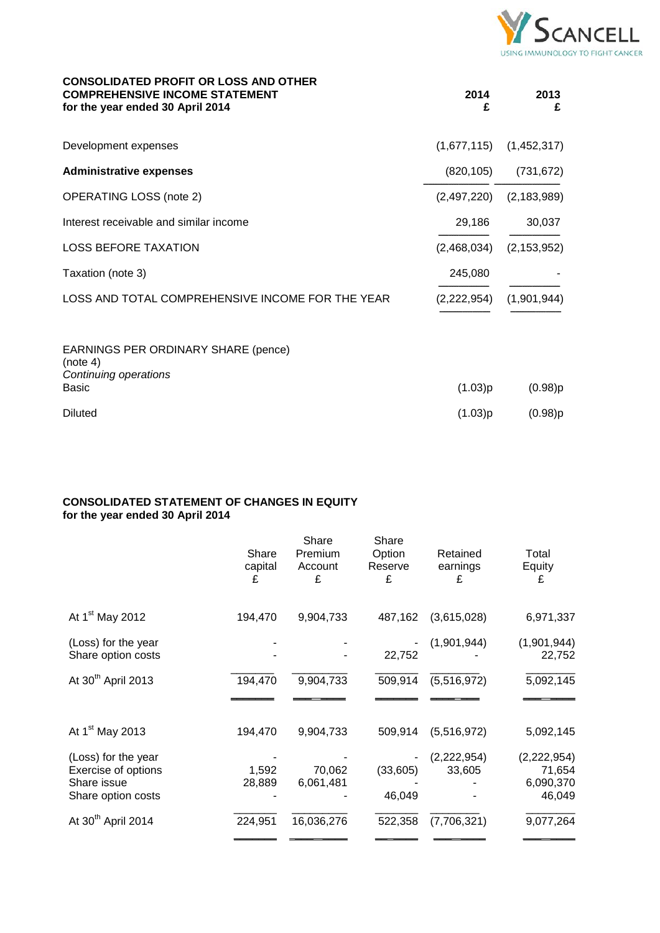

| <b>CONSOLIDATED PROFIT OR LOSS AND OTHER</b><br><b>COMPREHENSIVE INCOME STATEMENT</b><br>for the year ended 30 April 2014 | 2014<br>£   | 2013<br>£     |
|---------------------------------------------------------------------------------------------------------------------------|-------------|---------------|
| Development expenses                                                                                                      | (1,677,115) | (1,452,317)   |
| <b>Administrative expenses</b>                                                                                            | (820, 105)  | (731, 672)    |
| <b>OPERATING LOSS (note 2)</b>                                                                                            | (2,497,220) | (2, 183, 989) |
| Interest receivable and similar income                                                                                    | 29,186      | 30,037        |
| <b>LOSS BEFORE TAXATION</b>                                                                                               | (2,468,034) | (2, 153, 952) |
| Taxation (note 3)                                                                                                         | 245,080     |               |
| LOSS AND TOTAL COMPREHENSIVE INCOME FOR THE YEAR                                                                          | (2,222,954) | (1,901,944)   |
| EARNINGS PER ORDINARY SHARE (pence)<br>(note 4)<br>Continuing operations<br><b>Basic</b>                                  | (1.03)p     | $(0.98)$ p    |
| <b>Diluted</b>                                                                                                            | (1.03)p     | (0.98)p       |

## **CONSOLIDATED STATEMENT OF CHANGES IN EQUITY for the year ended 30 April 2014**

|                                                                                 | Share<br>capital<br>£ | Share<br>Premium<br>Account<br>£ | Share<br>Option<br>Reserve<br>£ | Retained<br>earnings<br>£ | Total<br>Equity<br>£                           |
|---------------------------------------------------------------------------------|-----------------------|----------------------------------|---------------------------------|---------------------------|------------------------------------------------|
| At 1 <sup>st</sup> May 2012                                                     | 194,470               | 9,904,733                        | 487,162                         | (3,615,028)               | 6,971,337                                      |
| (Loss) for the year<br>Share option costs                                       |                       |                                  | 22,752                          | (1,901,944)               | (1,901,944)<br>22,752                          |
| At 30 <sup>th</sup> April 2013                                                  | 194,470               | 9,904,733                        | 509,914                         | (5,516,972)               | 5,092,145                                      |
| At 1 <sup>st</sup> May 2013                                                     | 194,470               | 9,904,733                        | 509,914                         | (5,516,972)               | 5,092,145                                      |
| (Loss) for the year<br>Exercise of options<br>Share issue<br>Share option costs | 1,592<br>28,889       | 70,062<br>6,061,481              | (33,605)<br>46,049              | (2,222,954)<br>33,605     | (2, 222, 954)<br>71,654<br>6,090,370<br>46,049 |
| At 30 <sup>th</sup> April 2014                                                  | 224,951               | 16,036,276                       | 522,358                         | (7,706,321)               | 9,077,264                                      |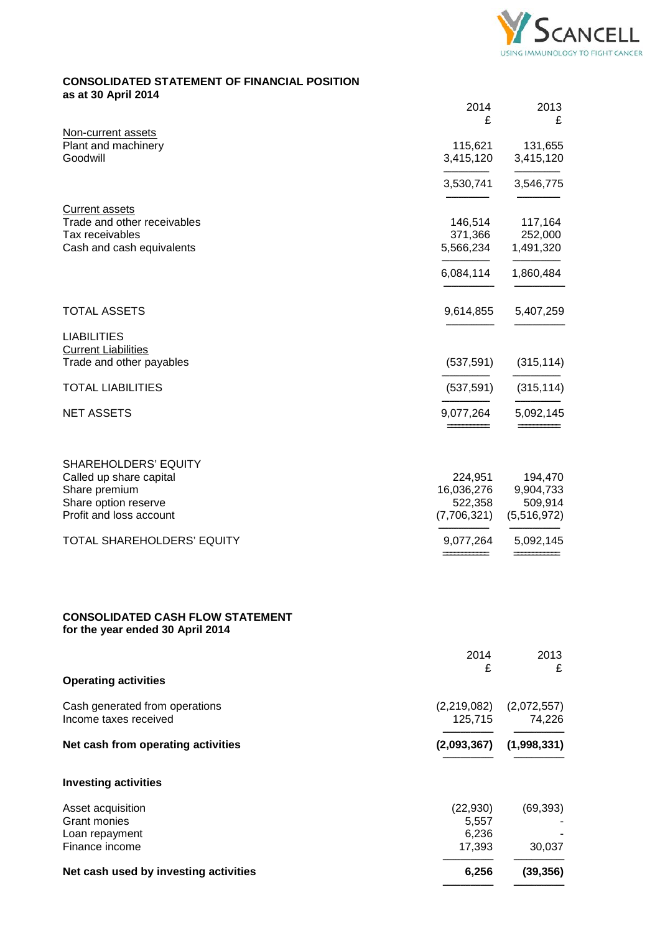

## **CONSOLIDATED STATEMENT OF FINANCIAL POSITION as at 30 April 2014**

| uo ut vv mpiil 2017                                                         | 2014<br>£              | 2013<br>£              |
|-----------------------------------------------------------------------------|------------------------|------------------------|
| Non-current assets                                                          |                        |                        |
| Plant and machinery<br>Goodwill                                             | 115,621<br>3,415,120   | 131,655<br>3,415,120   |
|                                                                             | 3,530,741              | 3,546,775              |
| <b>Current assets</b>                                                       |                        |                        |
| Trade and other receivables                                                 | 146,514                | 117,164                |
| Tax receivables<br>Cash and cash equivalents                                | 371,366<br>5,566,234   | 252,000<br>1,491,320   |
|                                                                             |                        |                        |
|                                                                             | 6,084,114              | 1,860,484              |
| <b>TOTAL ASSETS</b>                                                         | 9,614,855              | 5,407,259              |
| <b>LIABILITIES</b>                                                          |                        |                        |
| <b>Current Liabilities</b>                                                  |                        |                        |
| Trade and other payables                                                    | (537, 591)             | (315, 114)             |
| <b>TOTAL LIABILITIES</b>                                                    | (537, 591)             | (315, 114)             |
| <b>NET ASSETS</b>                                                           | 9,077,264              | 5,092,145              |
| <b>SHAREHOLDERS' EQUITY</b>                                                 |                        |                        |
| Called up share capital                                                     | 224,951                | 194,470                |
| Share premium                                                               | 16,036,276             | 9,904,733              |
| Share option reserve<br>Profit and loss account                             | 522,358<br>(7,706,321) | 509,914<br>(5,516,972) |
| <b>TOTAL SHAREHOLDERS' EQUITY</b>                                           | 9,077,264              | 5,092,145              |
| <b>CONSOLIDATED CASH FLOW STATEMENT</b><br>for the year ended 30 April 2014 |                        |                        |
|                                                                             | 2014                   | 2013                   |
| <b>Operating activities</b>                                                 | £                      | £                      |
|                                                                             |                        |                        |
| Cash generated from operations<br>Income taxes received                     | (2,219,082)<br>125,715 | (2,072,557)<br>74,226  |
| Net cash from operating activities                                          | (2,093,367)            | (1,998,331)            |
| <b>Investing activities</b>                                                 |                        |                        |
| Asset acquisition                                                           | (22, 930)              | (69, 393)              |
| <b>Grant monies</b>                                                         | 5,557                  |                        |
| Loan repayment<br>Finance income                                            | 6,236<br>17,393        | 30,037                 |
| Net cash used by investing activities                                       | 6,256                  | (39, 356)              |
|                                                                             |                        |                        |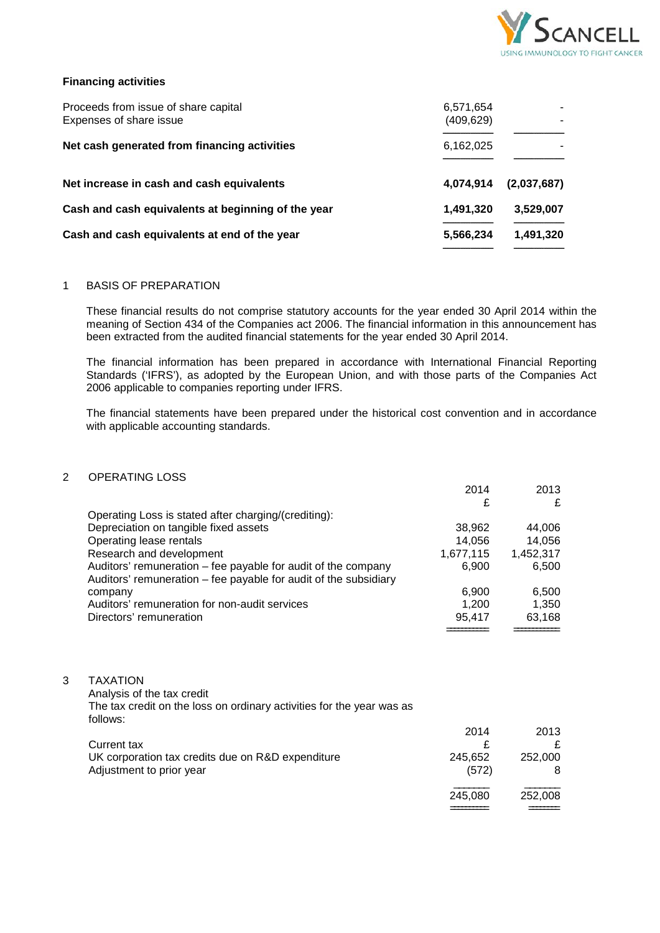

### **Financing activities**

| Proceeds from issue of share capital<br>Expenses of share issue | 6,571,654<br>(409, 629) |             |
|-----------------------------------------------------------------|-------------------------|-------------|
| Net cash generated from financing activities                    | 6,162,025               |             |
| Net increase in cash and cash equivalents                       | 4,074,914               | (2,037,687) |
| Cash and cash equivalents at beginning of the year              | 1,491,320               | 3,529,007   |
| Cash and cash equivalents at end of the year                    | 5,566,234               | 1,491,320   |

### 1 BASIS OF PREPARATION

These financial results do not comprise statutory accounts for the year ended 30 April 2014 within the meaning of Section 434 of the Companies act 2006. The financial information in this announcement has been extracted from the audited financial statements for the year ended 30 April 2014.

The financial information has been prepared in accordance with International Financial Reporting Standards ('IFRS'), as adopted by the European Union, and with those parts of the Companies Act 2006 applicable to companies reporting under IFRS.

The financial statements have been prepared under the historical cost convention and in accordance with applicable accounting standards.

## 2 OPERATING LOSS

|   |                                                                                                                                    | 2014<br>£        | 2013<br>£    |
|---|------------------------------------------------------------------------------------------------------------------------------------|------------------|--------------|
|   | Operating Loss is stated after charging/(crediting):                                                                               |                  |              |
|   | Depreciation on tangible fixed assets                                                                                              | 38,962           | 44,006       |
|   | Operating lease rentals                                                                                                            | 14,056           | 14,056       |
|   | Research and development                                                                                                           | 1,677,115        | 1,452,317    |
|   | Auditors' remuneration – fee payable for audit of the company<br>Auditors' remuneration – fee payable for audit of the subsidiary  | 6,900            | 6,500        |
|   | company                                                                                                                            | 6,900            | 6,500        |
|   | Auditors' remuneration for non-audit services                                                                                      | 1,200            | 1,350        |
|   | Directors' remuneration                                                                                                            | 95,417           | 63,168       |
|   |                                                                                                                                    |                  |              |
| 3 | <b>TAXATION</b><br>Analysis of the tax credit<br>The tax credit on the loss on ordinary activities for the year was as<br>follows: |                  |              |
|   |                                                                                                                                    | 2014             | 2013         |
|   | Current tax                                                                                                                        | £                | £            |
|   | UK corporation tax credits due on R&D expenditure<br>Adjustment to prior year                                                      | 245,652<br>(572) | 252,000<br>8 |
|   |                                                                                                                                    | 245,080          | 252,008      |
|   |                                                                                                                                    |                  |              |
|   |                                                                                                                                    |                  |              |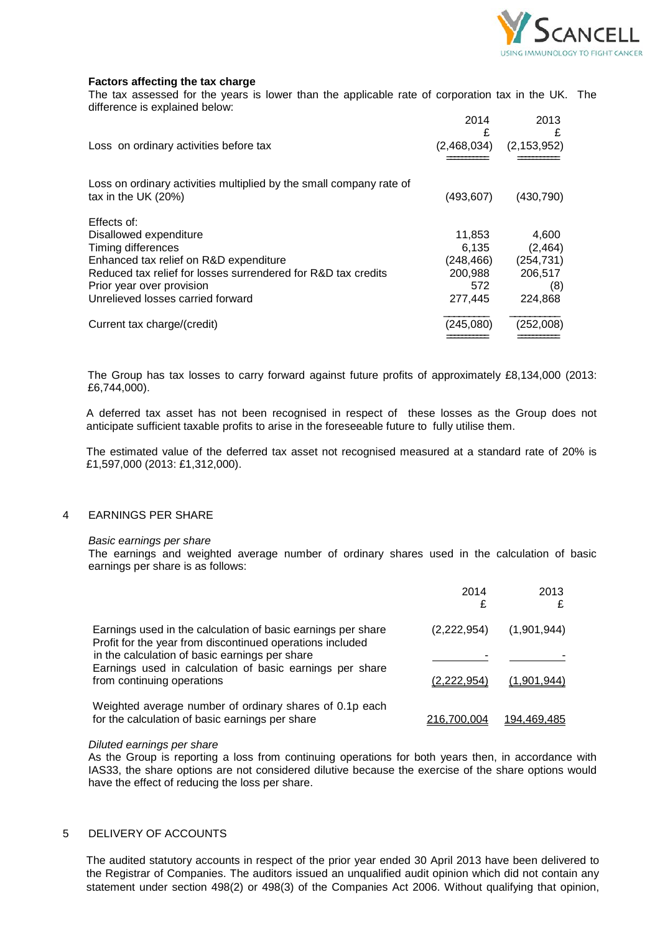

### **Factors affecting the tax charge**

The tax assessed for the years is lower than the applicable rate of corporation tax in the UK. The difference is explained below:

|                                                                     | 2014<br>£   | 2013<br>£     |
|---------------------------------------------------------------------|-------------|---------------|
| Loss on ordinary activities before tax                              | (2,468,034) | (2, 153, 952) |
|                                                                     |             |               |
| Loss on ordinary activities multiplied by the small company rate of |             |               |
| tax in the UK $(20%)$                                               | (493, 607)  | (430, 790)    |
| Effects of:                                                         |             |               |
| Disallowed expenditure                                              | 11,853      | 4,600         |
| Timing differences                                                  | 6.135       | (2, 464)      |
| Enhanced tax relief on R&D expenditure                              | (248,466)   | (254, 731)    |
| Reduced tax relief for losses surrendered for R&D tax credits       | 200,988     | 206,517       |
| Prior year over provision                                           | 572         | (8)           |
| Unrelieved losses carried forward                                   | 277,445     | 224,868       |
| Current tax charge/(credit)                                         | (245,080)   | (252,008)     |
|                                                                     |             |               |

The Group has tax losses to carry forward against future profits of approximately £8,134,000 (2013: £6,744,000).

A deferred tax asset has not been recognised in respect of these losses as the Group does not anticipate sufficient taxable profits to arise in the foreseeable future to fully utilise them.

The estimated value of the deferred tax asset not recognised measured at a standard rate of 20% is £1,597,000 (2013: £1,312,000).

### 4 EARNINGS PER SHARE

#### *Basic earnings per share*

The earnings and weighted average number of ordinary shares used in the calculation of basic earnings per share is as follows:

|                                                                                                                           | 2014        | 2013        |
|---------------------------------------------------------------------------------------------------------------------------|-------------|-------------|
| Earnings used in the calculation of basic earnings per share<br>Profit for the year from discontinued operations included | (2,222,954) | (1,901,944) |
| in the calculation of basic earnings per share                                                                            |             |             |
| Earnings used in calculation of basic earnings per share<br>from continuing operations                                    | (2.222.954) | (1.901.944) |
| Weighted average number of ordinary shares of 0.1p each<br>for the calculation of basic earnings per share                | 216.700.004 | 194.469.485 |

#### *Diluted earnings per share*

As the Group is reporting a loss from continuing operations for both years then, in accordance with IAS33, the share options are not considered dilutive because the exercise of the share options would have the effect of reducing the loss per share.

### 5 DELIVERY OF ACCOUNTS

The audited statutory accounts in respect of the prior year ended 30 April 2013 have been delivered to the Registrar of Companies. The auditors issued an unqualified audit opinion which did not contain any statement under section 498(2) or 498(3) of the Companies Act 2006. Without qualifying that opinion,